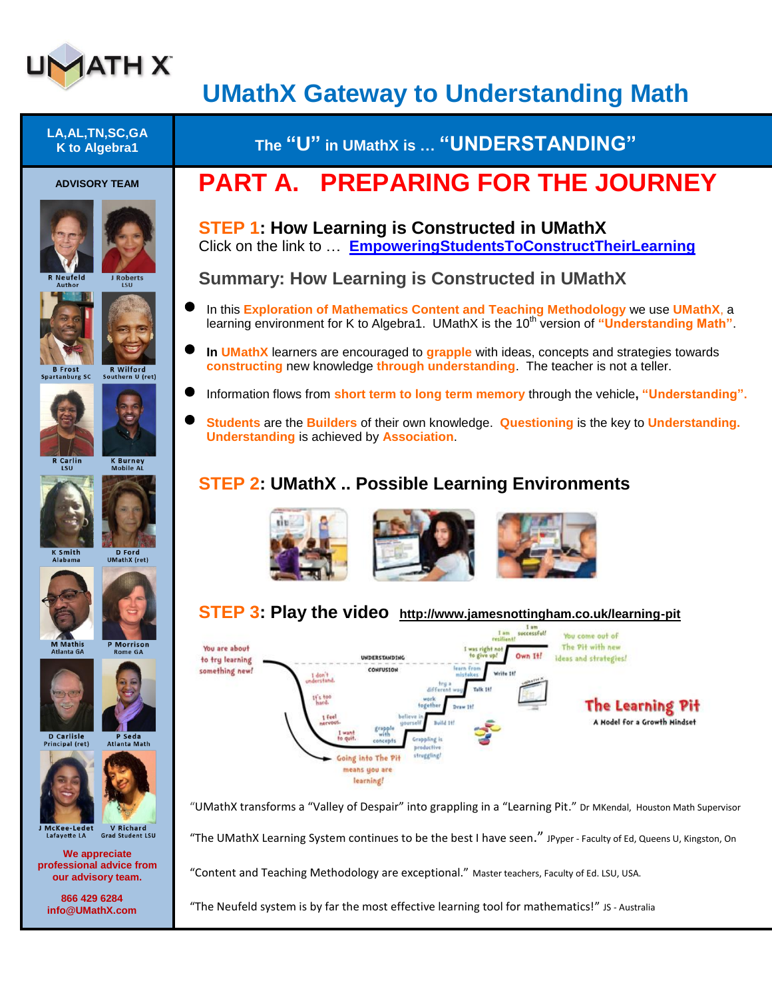

## **UMathX Gateway to Understanding Math**

| <b>PART A. PREPARING FOR THE JOURNEY</b><br><b>ADVISORY TEAM</b><br><b>STEP 1: How Learning is Constructed in UMathX</b><br>Click on the link to  EmpoweringStudentsToConstructTheirLearning<br><b>Summary: How Learning is Constructed in UMathX</b><br>R Neufeld<br>J Roberts<br>LSU<br>Author<br>In this <b>Exploration of Mathematics Content and Teaching Methodology</b> we use UMathX, a<br>learning environment for K to Algebra1. UMathX is the 10 <sup>th</sup> version of "Understanding Math".<br>In <b>UMathX</b> learners are encouraged to grapple with ideas, concepts and strategies towards<br>constructing new knowledge through understanding. The teacher is not a teller.<br>R Wilford<br><b>B</b> Frost<br>Spartanburg SC<br>Southern U (ret)<br>Information flows from <b>short term to long term memory</b> through the vehicle, " <b>Understanding</b> ".<br>Students are the Builders of their own knowledge. Questioning is the key to Understanding.<br><b>Understanding is achieved by Association</b><br><b>K Burney</b><br>R Carlin<br><b>Mobile AL</b><br>LSU<br><b>STEP 2: UMathX  Possible Learning Environments</b><br>D Ford<br>K Smith<br><b>UMathX</b> (ret)<br>Alabama<br>STEP 3: Play the video http://www.jamesnottingham.co.uk/learning-pit<br>Iam<br>I am successfull<br>You come out of<br>resilient!<br><b>M</b> Mathis<br>P Morrison<br>The Pit with new<br>You are about<br>I was right no<br><b>Atlanta GA</b><br><b>Rome GA</b><br>Own It!<br>ideas and strategies!<br>UNDERSTANDING<br>to try learning<br>learn from<br>something new!<br>CONFUSION<br>I don't<br>vderstand<br>Talk 14f<br>different<br>if's too<br><b>The Learning Pit</b><br>together<br>1 feel<br>belleve<br>A Model for a Growth Mindset<br>nervous.<br><b>UOUTSel</b><br>grapple<br>I wan<br>with<br><b>D</b> Carlisle<br>P Seda<br>to quit<br>rappling is<br>concepts<br>Principal (ret)<br><b>Atlanta Math</b><br>productive<br>struggling!<br>Going into The P<br>means you are<br>learning!<br>"UMathX transforms a "Valley of Despair" into grappling in a "Learning Pit." Dr MKendal, Houston Math Supervisor<br><b>V</b> Richard<br>J McKee-Ledet<br><b>Grad Student LSU</b><br>Lafayette LA<br>"The UMathX Learning System continues to be the best I have seen." JPyper - Faculty of Ed, Queens U, Kingston, On<br>We appreciate<br>professional advice from<br>"Content and Teaching Methodology are exceptional." Master teachers, Faculty of Ed. LSU, USA.<br>our advisory team.<br>866 429 6284<br>"The Neufeld system is by far the most effective learning tool for mathematics!" JS - Australia<br>info@UMathX.com | LA, AL, TN, SC, GA<br>K to Algebra1 | The "U" in UMathX is  "UNDERSTANDING" |
|------------------------------------------------------------------------------------------------------------------------------------------------------------------------------------------------------------------------------------------------------------------------------------------------------------------------------------------------------------------------------------------------------------------------------------------------------------------------------------------------------------------------------------------------------------------------------------------------------------------------------------------------------------------------------------------------------------------------------------------------------------------------------------------------------------------------------------------------------------------------------------------------------------------------------------------------------------------------------------------------------------------------------------------------------------------------------------------------------------------------------------------------------------------------------------------------------------------------------------------------------------------------------------------------------------------------------------------------------------------------------------------------------------------------------------------------------------------------------------------------------------------------------------------------------------------------------------------------------------------------------------------------------------------------------------------------------------------------------------------------------------------------------------------------------------------------------------------------------------------------------------------------------------------------------------------------------------------------------------------------------------------------------------------------------------------------------------------------------------------------------------------------------------------------------------------------------------------------------------------------------------------------------------------------------------------------------------------------------------------------------------------------------------------------------------------------------------------------------------------------------------------------------------------------------------------------------------------------------------------------------------------------------------|-------------------------------------|---------------------------------------|
|                                                                                                                                                                                                                                                                                                                                                                                                                                                                                                                                                                                                                                                                                                                                                                                                                                                                                                                                                                                                                                                                                                                                                                                                                                                                                                                                                                                                                                                                                                                                                                                                                                                                                                                                                                                                                                                                                                                                                                                                                                                                                                                                                                                                                                                                                                                                                                                                                                                                                                                                                                                                                                                            |                                     |                                       |
|                                                                                                                                                                                                                                                                                                                                                                                                                                                                                                                                                                                                                                                                                                                                                                                                                                                                                                                                                                                                                                                                                                                                                                                                                                                                                                                                                                                                                                                                                                                                                                                                                                                                                                                                                                                                                                                                                                                                                                                                                                                                                                                                                                                                                                                                                                                                                                                                                                                                                                                                                                                                                                                            |                                     |                                       |
|                                                                                                                                                                                                                                                                                                                                                                                                                                                                                                                                                                                                                                                                                                                                                                                                                                                                                                                                                                                                                                                                                                                                                                                                                                                                                                                                                                                                                                                                                                                                                                                                                                                                                                                                                                                                                                                                                                                                                                                                                                                                                                                                                                                                                                                                                                                                                                                                                                                                                                                                                                                                                                                            |                                     |                                       |
|                                                                                                                                                                                                                                                                                                                                                                                                                                                                                                                                                                                                                                                                                                                                                                                                                                                                                                                                                                                                                                                                                                                                                                                                                                                                                                                                                                                                                                                                                                                                                                                                                                                                                                                                                                                                                                                                                                                                                                                                                                                                                                                                                                                                                                                                                                                                                                                                                                                                                                                                                                                                                                                            |                                     |                                       |
|                                                                                                                                                                                                                                                                                                                                                                                                                                                                                                                                                                                                                                                                                                                                                                                                                                                                                                                                                                                                                                                                                                                                                                                                                                                                                                                                                                                                                                                                                                                                                                                                                                                                                                                                                                                                                                                                                                                                                                                                                                                                                                                                                                                                                                                                                                                                                                                                                                                                                                                                                                                                                                                            |                                     |                                       |
|                                                                                                                                                                                                                                                                                                                                                                                                                                                                                                                                                                                                                                                                                                                                                                                                                                                                                                                                                                                                                                                                                                                                                                                                                                                                                                                                                                                                                                                                                                                                                                                                                                                                                                                                                                                                                                                                                                                                                                                                                                                                                                                                                                                                                                                                                                                                                                                                                                                                                                                                                                                                                                                            |                                     |                                       |
|                                                                                                                                                                                                                                                                                                                                                                                                                                                                                                                                                                                                                                                                                                                                                                                                                                                                                                                                                                                                                                                                                                                                                                                                                                                                                                                                                                                                                                                                                                                                                                                                                                                                                                                                                                                                                                                                                                                                                                                                                                                                                                                                                                                                                                                                                                                                                                                                                                                                                                                                                                                                                                                            |                                     |                                       |
|                                                                                                                                                                                                                                                                                                                                                                                                                                                                                                                                                                                                                                                                                                                                                                                                                                                                                                                                                                                                                                                                                                                                                                                                                                                                                                                                                                                                                                                                                                                                                                                                                                                                                                                                                                                                                                                                                                                                                                                                                                                                                                                                                                                                                                                                                                                                                                                                                                                                                                                                                                                                                                                            |                                     |                                       |
|                                                                                                                                                                                                                                                                                                                                                                                                                                                                                                                                                                                                                                                                                                                                                                                                                                                                                                                                                                                                                                                                                                                                                                                                                                                                                                                                                                                                                                                                                                                                                                                                                                                                                                                                                                                                                                                                                                                                                                                                                                                                                                                                                                                                                                                                                                                                                                                                                                                                                                                                                                                                                                                            |                                     |                                       |
|                                                                                                                                                                                                                                                                                                                                                                                                                                                                                                                                                                                                                                                                                                                                                                                                                                                                                                                                                                                                                                                                                                                                                                                                                                                                                                                                                                                                                                                                                                                                                                                                                                                                                                                                                                                                                                                                                                                                                                                                                                                                                                                                                                                                                                                                                                                                                                                                                                                                                                                                                                                                                                                            |                                     |                                       |
|                                                                                                                                                                                                                                                                                                                                                                                                                                                                                                                                                                                                                                                                                                                                                                                                                                                                                                                                                                                                                                                                                                                                                                                                                                                                                                                                                                                                                                                                                                                                                                                                                                                                                                                                                                                                                                                                                                                                                                                                                                                                                                                                                                                                                                                                                                                                                                                                                                                                                                                                                                                                                                                            |                                     |                                       |
|                                                                                                                                                                                                                                                                                                                                                                                                                                                                                                                                                                                                                                                                                                                                                                                                                                                                                                                                                                                                                                                                                                                                                                                                                                                                                                                                                                                                                                                                                                                                                                                                                                                                                                                                                                                                                                                                                                                                                                                                                                                                                                                                                                                                                                                                                                                                                                                                                                                                                                                                                                                                                                                            |                                     |                                       |
|                                                                                                                                                                                                                                                                                                                                                                                                                                                                                                                                                                                                                                                                                                                                                                                                                                                                                                                                                                                                                                                                                                                                                                                                                                                                                                                                                                                                                                                                                                                                                                                                                                                                                                                                                                                                                                                                                                                                                                                                                                                                                                                                                                                                                                                                                                                                                                                                                                                                                                                                                                                                                                                            |                                     |                                       |
|                                                                                                                                                                                                                                                                                                                                                                                                                                                                                                                                                                                                                                                                                                                                                                                                                                                                                                                                                                                                                                                                                                                                                                                                                                                                                                                                                                                                                                                                                                                                                                                                                                                                                                                                                                                                                                                                                                                                                                                                                                                                                                                                                                                                                                                                                                                                                                                                                                                                                                                                                                                                                                                            |                                     |                                       |
|                                                                                                                                                                                                                                                                                                                                                                                                                                                                                                                                                                                                                                                                                                                                                                                                                                                                                                                                                                                                                                                                                                                                                                                                                                                                                                                                                                                                                                                                                                                                                                                                                                                                                                                                                                                                                                                                                                                                                                                                                                                                                                                                                                                                                                                                                                                                                                                                                                                                                                                                                                                                                                                            |                                     |                                       |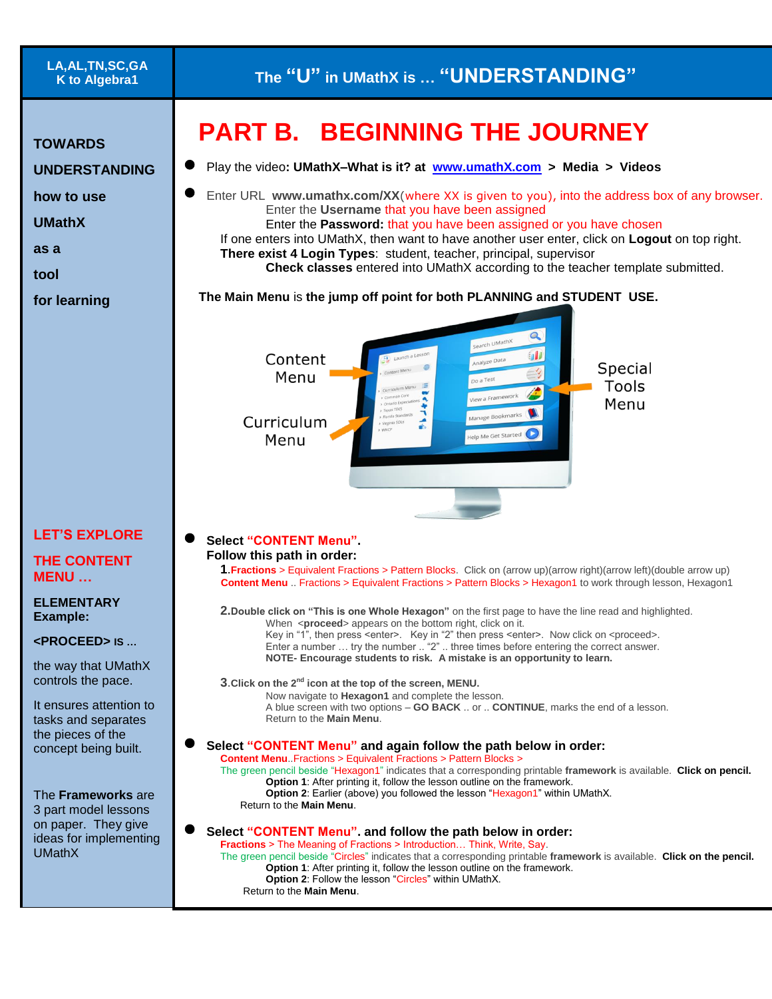| LA,AL,TN,SC,GA |
|----------------|
| K to Algebra1  |

**TOWARDS** 

## **PART B. BEGINNING THE JOURNEY**

 Play the video**: UMathX–What is it? at [www.umathX.com](http://www.umathx.com/) > Media > Videos UNDERSTANDING**  Enter URL **www.umathx.com/XX**(where XX is given to you), into the address box of any browser. **how to use**  Enter the **Username** that you have been assigned **UMathX** Enter the **Password:** that you have been assigned or you have chosen If one enters into UMathX, then want to have another user enter, click on **Logout** on top right. **as a There exist 4 Login Types**: student, teacher, principal, supervisor **Check classes** entered into UMathX according to the teacher template submitted. **tool The Main Menu** is **the jump off point for both PLANNING and STUDENT USE. for learning**   $\Omega$ O Content Special Menu Tools Menu Curriculum elp Me Get Started Menu **LET'S EXPLORE Select "CONTENT Menu". Follow this path in order: THE CONTENT 1**.**Fractions** > Equivalent Fractions > Pattern Blocks. Click on (arrow up)(arrow right)(arrow left)(double arrow up) **MENU … Content Menu** .. Fractions > Equivalent Fractions > Pattern Blocks > Hexagon1 to work through lesson, Hexagon1 **ELEMENTARY 2.Double click on "This is one Whole Hexagon"** on the first page to have the line read and highlighted. **Example:** When <**proceed**> appears on the bottom right, click on it. Key in "1", then press <enter>. Key in "2" then press <enter>. Now click on <proceed>. **<PROCEED> IS …** Enter a number … try the number .. "2" .. three times before entering the correct answer. **NOTE- Encourage students to risk. A mistake is an opportunity to learn.** the way that UMathX controls the pace. **3**.**Click on the 2nd icon at the top of the screen, MENU.** Now navigate to **Hexagon1** and complete the lesson. It ensures attention to A blue screen with two options – **GO BACK** .. or .. **CONTINUE**, marks the end of a lesson. tasks and separates Return to the **Main Menu**. the pieces of the **Select "CONTENT Menu" and again follow the path below in order:** concept being built. **Content Menu**..Fractions > Equivalent Fractions > Pattern Blocks > The green pencil beside "Hexagon1" indicates that a corresponding printable **framework** is available. **Click on pencil. Option 1:** After printing it, follow the lesson outline on the framework. **Option 2:** Earlier (above) you followed the lesson "Hexagon1" within UMathX. The **Frameworks** are Return to the **Main Menu**. 3 part model lessons on paper. They give **Select "CONTENT Menu". and follow the path below in order:** ideas for implementing **Fractions** > The Meaning of Fractions > Introduction… Think, Write, Say. UMathX The green pencil beside "Circles" indicates that a corresponding printable **framework** is available. **Click on the pencil. Option 1**: After printing it, follow the lesson outline on the framework. **Option 2: Follow the lesson "Circles" within UMathX.** Return to the **Main Menu**.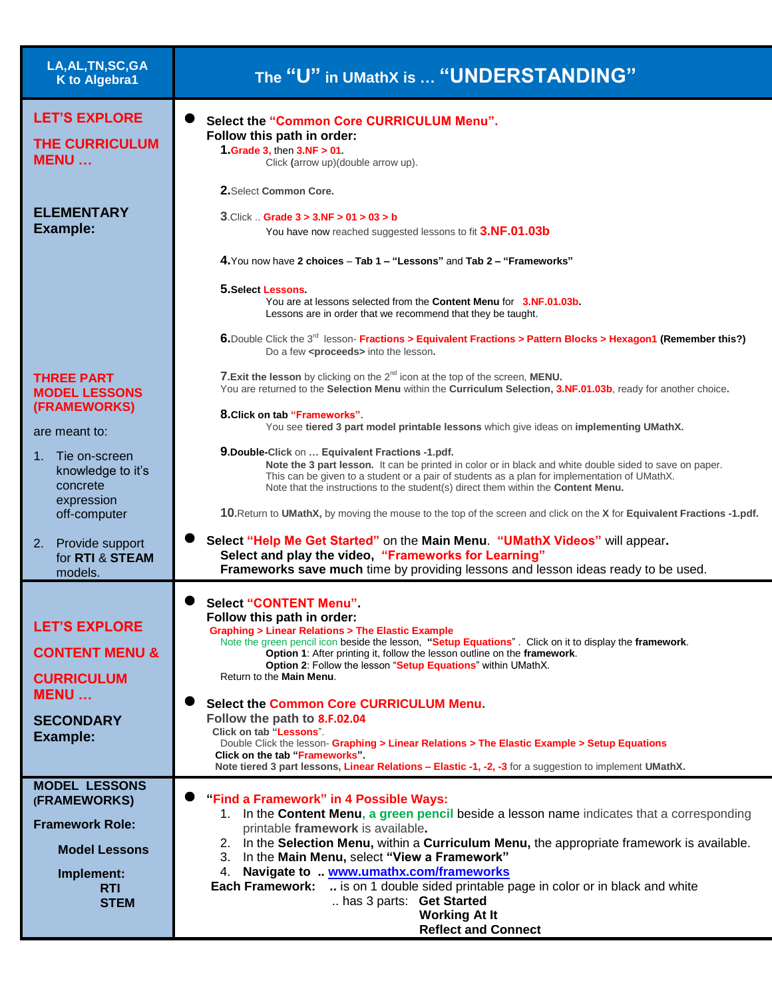| LA, AL, TN, SC, GA<br>K to Algebra1                                                                                               | The "U" in UMathX is  "UNDERSTANDING"                                                                                                                                                                                                                                                                                                                                                                                                                                                                                                                                                                                                                                                                                                                                    |
|-----------------------------------------------------------------------------------------------------------------------------------|--------------------------------------------------------------------------------------------------------------------------------------------------------------------------------------------------------------------------------------------------------------------------------------------------------------------------------------------------------------------------------------------------------------------------------------------------------------------------------------------------------------------------------------------------------------------------------------------------------------------------------------------------------------------------------------------------------------------------------------------------------------------------|
| <b>LET'S EXPLORE</b><br><b>THE CURRICULUM</b><br><b>MENU</b>                                                                      | Select the "Common Core CURRICULUM Menu".<br>Follow this path in order:<br>1. Grade 3, then $3.NF > 01$ .<br>Click (arrow up)(double arrow up).                                                                                                                                                                                                                                                                                                                                                                                                                                                                                                                                                                                                                          |
| <b>ELEMENTARY</b><br><b>Example:</b>                                                                                              | 2. Select Common Core.<br>$3$ . Click  Grade $3 > 3$ . NF $> 01 > 03 > b$<br>You have now reached suggested lessons to fit 3.NF.01.03b<br>4. You now have 2 choices - Tab 1 - "Lessons" and Tab 2 - "Frameworks"                                                                                                                                                                                                                                                                                                                                                                                                                                                                                                                                                         |
|                                                                                                                                   | 5. Select Lessons<br>You are at lessons selected from the <b>Content Menu</b> for <b>3.NF.01.03b.</b><br>Lessons are in order that we recommend that they be taught.<br>6. Double Click the 3 <sup>rd</sup> lesson- Fractions > Equivalent Fractions > Pattern Blocks > Hexagon1 (Remember this?)<br>Do a few <proceeds> into the lesson.</proceeds>                                                                                                                                                                                                                                                                                                                                                                                                                     |
| <b>THREE PART</b><br><b>MODEL LESSONS</b><br>(FRAMEWORKS)<br>are meant to:                                                        | 7. Exit the lesson by clicking on the 2 <sup>nd</sup> icon at the top of the screen, MENU.<br>You are returned to the Selection Menu within the Curriculum Selection, 3.NF.01.03b, ready for another choice.<br>8. Click on tab "Frameworks".<br>You see tiered 3 part model printable lessons which give ideas on implementing UMathX.                                                                                                                                                                                                                                                                                                                                                                                                                                  |
| 1. Tie on-screen<br>knowledge to it's<br>concrete<br>expression<br>off-computer                                                   | 9. Double-Click on  Equivalent Fractions -1.pdf.<br>Note the 3 part lesson. It can be printed in color or in black and white double sided to save on paper.<br>This can be given to a student or a pair of students as a plan for implementation of UMathX.<br>Note that the instructions to the student(s) direct them within the Content Menu.<br>10. Return to UMathX, by moving the mouse to the top of the screen and click on the X for Equivalent Fractions -1.pdf.                                                                                                                                                                                                                                                                                               |
| 2. Provide support<br>for RTI & STEAM<br>models.                                                                                  | Select "Help Me Get Started" on the Main Menu. "UMathX Videos" will appear.<br>Select and play the video, "Frameworks for Learning"<br>Frameworks save much time by providing lessons and lesson ideas ready to be used.                                                                                                                                                                                                                                                                                                                                                                                                                                                                                                                                                 |
| <b>LET'S EXPLORE</b><br><b>CONTENT MENU &amp;</b><br><b>CURRICULUM</b><br><b>MENU</b><br><b>SECONDARY</b><br><b>Example:</b>      | <b>Select "CONTENT Menu"</b><br>Follow this path in order:<br><b>Graphing &gt; Linear Relations &gt; The Elastic Example</b><br>Note the green pencil icon beside the lesson, "Setup Equations". Click on it to display the framework.<br>Option 1: After printing it, follow the lesson outline on the framework.<br>Option 2: Follow the lesson "Setup Equations" within UMathX.<br>Return to the Main Menu.<br><b>Select the Common Core CURRICULUM Menu.</b><br>Follow the path to 8.F.02.04<br>Click on tab "Lessons".<br>Double Click the lesson- Graphing > Linear Relations > The Elastic Example > Setup Equations<br>Click on the tab "Frameworks".<br>Note tiered 3 part lessons, Linear Relations - Elastic -1, -2, -3 for a suggestion to implement UMathX. |
| <b>MODEL LESSONS</b><br>(FRAMEWORKS)<br><b>Framework Role:</b><br><b>Model Lessons</b><br>Implement:<br><b>RTI</b><br><b>STEM</b> | "Find a Framework" in 4 Possible Ways:<br>1. In the Content Menu, a green pencil beside a lesson name indicates that a corresponding<br>printable framework is available.<br>2. In the Selection Menu, within a Curriculum Menu, the appropriate framework is available.<br>3. In the Main Menu, select "View a Framework"<br>4. Navigate to  www.umathx.com/frameworks<br>is on 1 double sided printable page in color or in black and white<br><b>Each Framework:</b><br>has 3 parts: Get Started<br><b>Working At It</b><br><b>Reflect and Connect</b>                                                                                                                                                                                                                |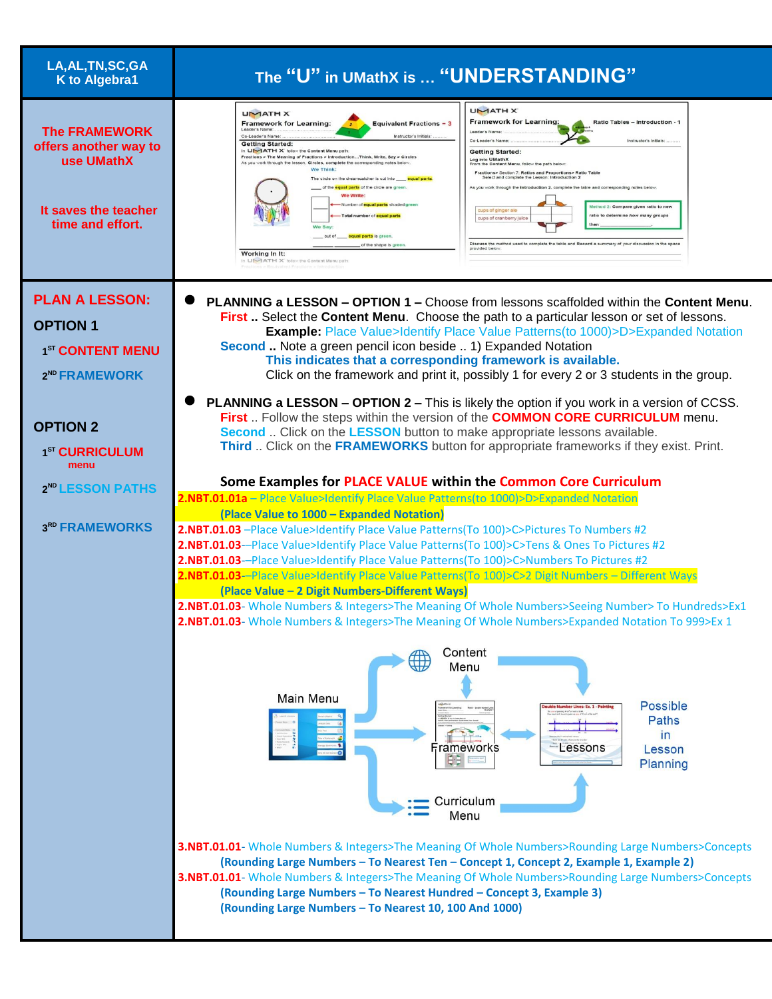| LA, AL, TN, SC, GA<br><b>K</b> to Algebra1                                                              | The "U" in UMathX is  "UNDERSTANDING"                                                                                                                                                                                                                                                                                                                                                                                                                                                                                                                                                                                                                                                                                                                                                                                                                                                                                                                                                                                                                                                                                                                                                                                                                                                                                                                                                                                               |
|---------------------------------------------------------------------------------------------------------|-------------------------------------------------------------------------------------------------------------------------------------------------------------------------------------------------------------------------------------------------------------------------------------------------------------------------------------------------------------------------------------------------------------------------------------------------------------------------------------------------------------------------------------------------------------------------------------------------------------------------------------------------------------------------------------------------------------------------------------------------------------------------------------------------------------------------------------------------------------------------------------------------------------------------------------------------------------------------------------------------------------------------------------------------------------------------------------------------------------------------------------------------------------------------------------------------------------------------------------------------------------------------------------------------------------------------------------------------------------------------------------------------------------------------------------|
| <b>The FRAMEWORK</b><br>offers another way to<br>use UMathX<br>It saves the teacher<br>time and effort. | <b>UMATH X</b><br><b>UMATHX</b><br><b>Framework for Learning:</b><br>Ratio Tables - Introduction - 1<br><b>Framework for Learning:</b><br><b>Equivalent Fractions - 3</b><br>Leader's Na<br>Co-Leader's Name<br>Instructor's Initials<br>Co-Leader's Name<br>Instructor's Initials<br><b>Getting Started:</b><br>In UMATH X follow the Content Menu path:<br><b>Getting Started:</b><br>Fractions > The Meaning of Fractions > IntroductionThink, Write, Say > Circles<br>Log into UMathX<br>As you work through the lesson, Circles, complete the corresponding notes below.<br>From the Content Menu, follow the path below.<br><b>We Think:</b><br>Fractions> Section 7: Ratios and Proportions> Ratio Table<br>Select and complete the Lesson: Introduction 2<br>The circle on the dreamcatcher is cut into equal parts<br>of the equal parts of the circle are green.<br>As you work through the Introduction 2, complete the table and corresponding notes belo<br>We Write:<br>-Number of <b>equal parts</b> shaded green<br>d 2: Compare given ratio to nev<br>ups of ginger ale<br>-Total number of equal parts<br>ratio to determine how many group.<br>ups of cranberry juice<br>We Say:<br>equal parts is green<br>out of<br>Discuss the method used to complete the table and Record a summary of your discussion in the space<br>of the shape is green<br>Working In It:<br>in LIN-TATH X follow the Content Menu pat |
| <b>PLAN A LESSON:</b><br><b>OPTION 1</b><br>1 <sup>ST</sup> CONTENT MENU<br>2 <sup>ND</sup> FRAMEWORK   | <b>PLANNING a LESSON - OPTION 1 - Choose from lessons scaffolded within the Content Menu.</b><br>First . Select the Content Menu. Choose the path to a particular lesson or set of lessons.<br><b>Example:</b> Place Value>Identify Place Value Patterns(to 1000)>D>Expanded Notation<br>Second  Note a green pencil icon beside  1) Expanded Notation<br>This indicates that a corresponding framework is available.<br>Click on the framework and print it, possibly 1 for every 2 or 3 students in the group.                                                                                                                                                                                                                                                                                                                                                                                                                                                                                                                                                                                                                                                                                                                                                                                                                                                                                                                    |
| <b>OPTION 2</b><br>1 <sup>ST</sup> CURRICULUM<br>menu<br>2 <sup>ND</sup> LESSON PATHS<br>3RD FRAMEWORKS | <b>PLANNING a LESSON - OPTION 2 - This is likely the option if you work in a version of CCSS.</b><br>First  Follow the steps within the version of the COMMON CORE CURRICULUM menu.<br>Second  Click on the LESSON button to make appropriate lessons available.<br>Third  Click on the FRAMEWORKS button for appropriate frameworks if they exist. Print.<br>Some Examples for PLACE VALUE within the Common Core Curriculum<br>2.NBT.01.01a - Place Value>Identify Place Value Patterns(to 1000)>D>Expanded Notation<br>(Place Value to 1000 - Expanded Notation)<br>2.NBT.01.03 - Place Value>Identify Place Value Patterns(To 100)>C>Pictures To Numbers #2<br>2.NBT.01.03--Place Value>Identify Place Value Patterns(To 100)>C>Tens & Ones To Pictures #2<br>2.NBT.01.03--Place Value>Identify Place Value Patterns(To 100)>C>Numbers To Pictures #2<br>2.NBT.01.03--Place Value>Identify Place Value Patterns(To 100)>C>2 Digit Numbers - Different Ways<br>(Place Value - 2 Digit Numbers-Different Ways)<br>2.NBT.01.03- Whole Numbers & Integers>The Meaning Of Whole Numbers>Seeing Number> To Hundreds>Ex1<br>2.NBT.01.03- Whole Numbers & Integers>The Meaning Of Whole Numbers>Expanded Notation To 999>Ex 1<br>Content<br>$\oplus$<br>Menu<br>Main Menu<br><b>Possible</b><br>ber Lines: Ex. 1 - Pain<br><b>Paths</b><br>in<br>Frameworks<br>Lessons<br>Lesson<br>电电<br>Planning<br>Curriculum<br>Menu                |
|                                                                                                         | 3.NBT.01.01- Whole Numbers & Integers>The Meaning Of Whole Numbers>Rounding Large Numbers>Concepts<br>(Rounding Large Numbers - To Nearest Ten - Concept 1, Concept 2, Example 1, Example 2)<br>3.NBT.01.01- Whole Numbers & Integers>The Meaning Of Whole Numbers>Rounding Large Numbers>Concepts<br>(Rounding Large Numbers - To Nearest Hundred - Concept 3, Example 3)<br>(Rounding Large Numbers - To Nearest 10, 100 And 1000)                                                                                                                                                                                                                                                                                                                                                                                                                                                                                                                                                                                                                                                                                                                                                                                                                                                                                                                                                                                                |